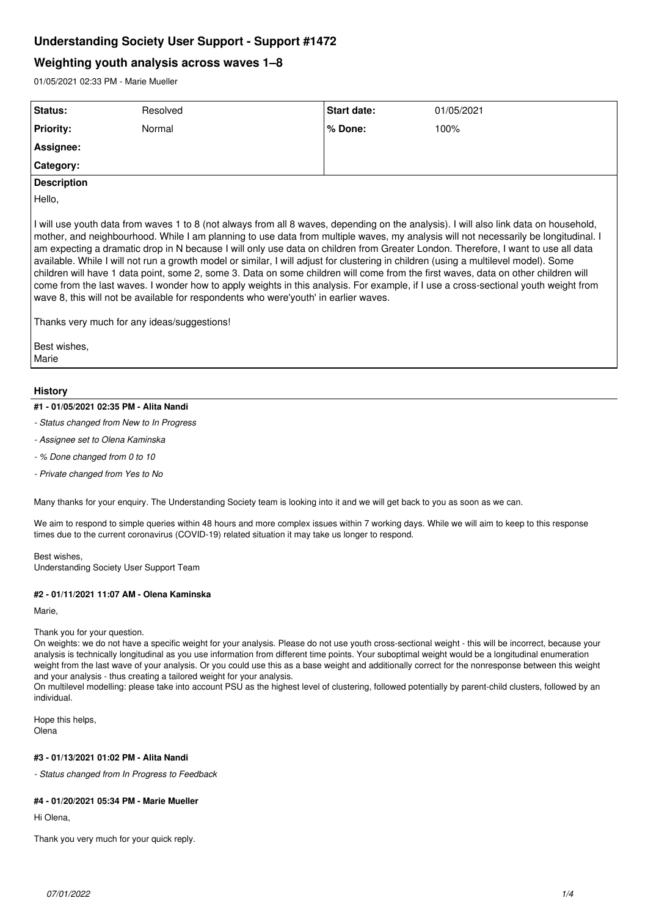# **Understanding Society User Support - Support #1472**

# **Weighting youth analysis across waves 1–8**

01/05/2021 02:33 PM - Marie Mueller

| Status:            | Resolved | <b>Start date:</b> | 01/05/2021 |
|--------------------|----------|--------------------|------------|
| <b>Priority:</b>   | Normal   | l% Done:           | 100%       |
| Assignee:          |          |                    |            |
| Category:          |          |                    |            |
| <b>Description</b> |          |                    |            |

Hello,

I will use youth data from waves 1 to 8 (not always from all 8 waves, depending on the analysis). I will also link data on household, mother, and neighbourhood. While I am planning to use data from multiple waves, my analysis will not necessarily be longitudinal. I am expecting a dramatic drop in N because I will only use data on children from Greater London. Therefore, I want to use all data available. While I will not run a growth model or similar, I will adjust for clustering in children (using a multilevel model). Some children will have 1 data point, some 2, some 3. Data on some children will come from the first waves, data on other children will come from the last waves. I wonder how to apply weights in this analysis. For example, if I use a cross-sectional youth weight from wave 8, this will not be available for respondents who were'youth' in earlier waves.

Thanks very much for any ideas/suggestions!

Best wishes, Marie

# **History**

### **#1 - 01/05/2021 02:35 PM - Alita Nandi**

- *Status changed from New to In Progress*
- *Assignee set to Olena Kaminska*
- *% Done changed from 0 to 10*
- *Private changed from Yes to No*

Many thanks for your enquiry. The Understanding Society team is looking into it and we will get back to you as soon as we can.

We aim to respond to simple queries within 48 hours and more complex issues within 7 working days. While we will aim to keep to this response times due to the current coronavirus (COVID-19) related situation it may take us longer to respond.

Best wishes, Understanding Society User Support Team

### **#2 - 01/11/2021 11:07 AM - Olena Kaminska**

Marie,

### Thank you for your question.

On weights: we do not have a specific weight for your analysis. Please do not use youth cross-sectional weight - this will be incorrect, because your analysis is technically longitudinal as you use information from different time points. Your suboptimal weight would be a longitudinal enumeration weight from the last wave of your analysis. Or you could use this as a base weight and additionally correct for the nonresponse between this weight and your analysis - thus creating a tailored weight for your analysis.

On multilevel modelling: please take into account PSU as the highest level of clustering, followed potentially by parent-child clusters, followed by an individual.

Hope this helps, Olena

## **#3 - 01/13/2021 01:02 PM - Alita Nandi**

*- Status changed from In Progress to Feedback*

# **#4 - 01/20/2021 05:34 PM - Marie Mueller**

Hi Olena,

Thank you very much for your quick reply.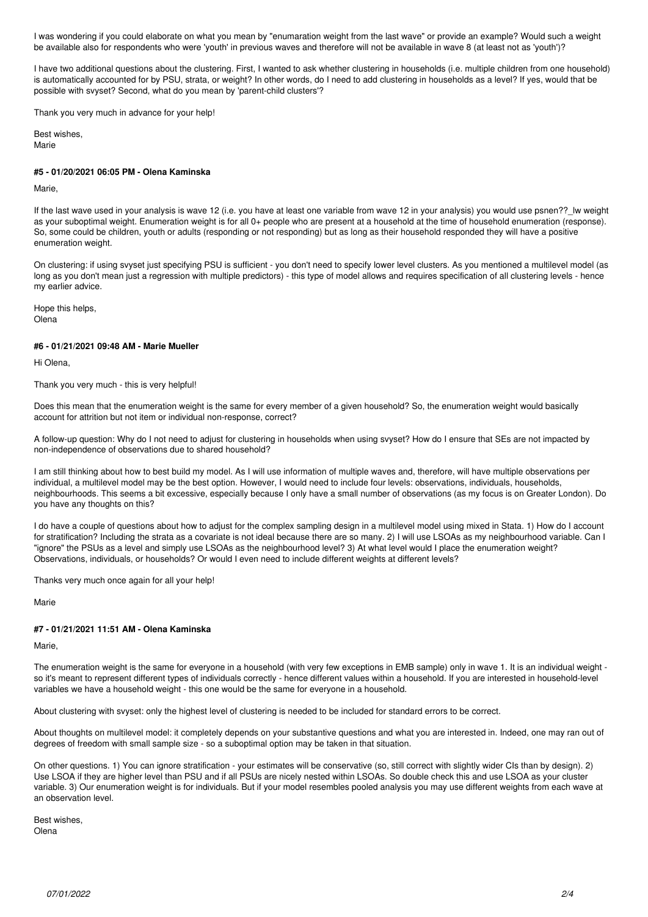I was wondering if you could elaborate on what you mean by "enumaration weight from the last wave" or provide an example? Would such a weight be available also for respondents who were 'youth' in previous waves and therefore will not be available in wave 8 (at least not as 'youth')?

I have two additional questions about the clustering. First, I wanted to ask whether clustering in households (i.e. multiple children from one household) is automatically accounted for by PSU, strata, or weight? In other words, do I need to add clustering in households as a level? If yes, would that be possible with svyset? Second, what do you mean by 'parent-child clusters'?

Thank you very much in advance for your help!

Best wishes, Marie

# **#5 - 01/20/2021 06:05 PM - Olena Kaminska**

### Marie,

If the last wave used in your analysis is wave 12 (i.e. you have at least one variable from wave 12 in your analysis) you would use psnen?? Iw weight as your suboptimal weight. Enumeration weight is for all 0+ people who are present at a household at the time of household enumeration (response). So, some could be children, youth or adults (responding or not responding) but as long as their household responded they will have a positive enumeration weight.

On clustering: if using svyset just specifying PSU is sufficient - you don't need to specify lower level clusters. As you mentioned a multilevel model (as long as you don't mean just a regression with multiple predictors) - this type of model allows and requires specification of all clustering levels - hence my earlier advice.

Hope this helps, Olena

### **#6 - 01/21/2021 09:48 AM - Marie Mueller**

Hi Olena,

Thank you very much - this is very helpful!

Does this mean that the enumeration weight is the same for every member of a given household? So, the enumeration weight would basically account for attrition but not item or individual non-response, correct?

A follow-up question: Why do I not need to adjust for clustering in households when using svyset? How do I ensure that SEs are not impacted by non-independence of observations due to shared household?

I am still thinking about how to best build my model. As I will use information of multiple waves and, therefore, will have multiple observations per individual, a multilevel model may be the best option. However, I would need to include four levels: observations, individuals, households, neighbourhoods. This seems a bit excessive, especially because I only have a small number of observations (as my focus is on Greater London). Do you have any thoughts on this?

I do have a couple of questions about how to adjust for the complex sampling design in a multilevel model using mixed in Stata. 1) How do I account for stratification? Including the strata as a covariate is not ideal because there are so many. 2) I will use LSOAs as my neighbourhood variable. Can I "ignore" the PSUs as a level and simply use LSOAs as the neighbourhood level? 3) At what level would I place the enumeration weight? Observations, individuals, or households? Or would I even need to include different weights at different levels?

Thanks very much once again for all your help!

Marie

# **#7 - 01/21/2021 11:51 AM - Olena Kaminska**

Marie,

The enumeration weight is the same for everyone in a household (with very few exceptions in EMB sample) only in wave 1. It is an individual weight so it's meant to represent different types of individuals correctly - hence different values within a household. If you are interested in household-level variables we have a household weight - this one would be the same for everyone in a household.

About clustering with svyset: only the highest level of clustering is needed to be included for standard errors to be correct.

About thoughts on multilevel model: it completely depends on your substantive questions and what you are interested in. Indeed, one may ran out of degrees of freedom with small sample size - so a suboptimal option may be taken in that situation.

On other questions. 1) You can ignore stratification - your estimates will be conservative (so, still correct with slightly wider CIs than by design). 2) Use LSOA if they are higher level than PSU and if all PSUs are nicely nested within LSOAs. So double check this and use LSOA as your cluster variable. 3) Our enumeration weight is for individuals. But if your model resembles pooled analysis you may use different weights from each wave at an observation level.

Best wishes, Olena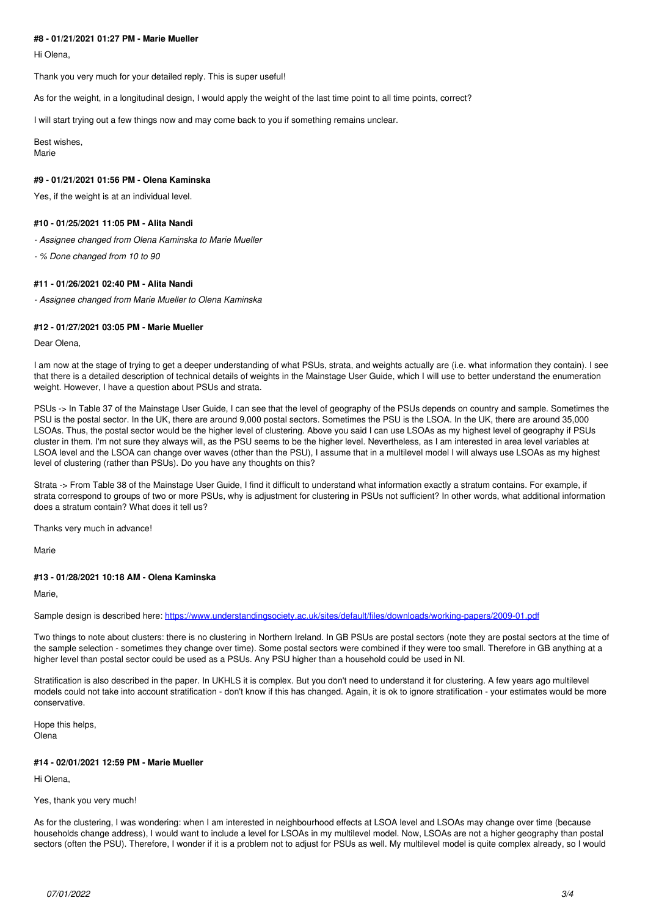### **#8 - 01/21/2021 01:27 PM - Marie Mueller**

Hi Olena,

Thank you very much for your detailed reply. This is super useful!

As for the weight, in a longitudinal design, I would apply the weight of the last time point to all time points, correct?

I will start trying out a few things now and may come back to you if something remains unclear.

Best wishes, Marie

#### **#9 - 01/21/2021 01:56 PM - Olena Kaminska**

Yes, if the weight is at an individual level.

### **#10 - 01/25/2021 11:05 PM - Alita Nandi**

*- Assignee changed from Olena Kaminska to Marie Mueller*

*- % Done changed from 10 to 90*

### **#11 - 01/26/2021 02:40 PM - Alita Nandi**

*- Assignee changed from Marie Mueller to Olena Kaminska*

#### **#12 - 01/27/2021 03:05 PM - Marie Mueller**

Dear Olena,

I am now at the stage of trying to get a deeper understanding of what PSUs, strata, and weights actually are (i.e. what information they contain). I see that there is a detailed description of technical details of weights in the Mainstage User Guide, which I will use to better understand the enumeration weight. However, I have a question about PSUs and strata.

PSUs  $\rightarrow$  In Table 37 of the Mainstage User Guide, I can see that the level of geography of the PSUs depends on country and sample. Sometimes the PSU is the postal sector. In the UK, there are around 9,000 postal sectors. Sometimes the PSU is the LSOA. In the UK, there are around 35,000 LSOAs. Thus, the postal sector would be the higher level of clustering. Above you said I can use LSOAs as my highest level of geography if PSUs cluster in them. I'm not sure they always will, as the PSU seems to be the higher level. Nevertheless, as I am interested in area level variables at LSOA level and the LSOA can change over waves (other than the PSU), I assume that in a multilevel model I will always use LSOAs as my highest level of clustering (rather than PSUs). Do you have any thoughts on this?

Strata -> From Table 38 of the Mainstage User Guide, I find it difficult to understand what information exactly a stratum contains. For example, if strata correspond to groups of two or more PSUs, why is adjustment for clustering in PSUs not sufficient? In other words, what additional information does a stratum contain? What does it tell us?

Thanks very much in advance!

Marie

### **#13 - 01/28/2021 10:18 AM - Olena Kaminska**

Marie,

Sample design is described here: <https://www.understandingsociety.ac.uk/sites/default/files/downloads/working-papers/2009-01.pdf>

Two things to note about clusters: there is no clustering in Northern Ireland. In GB PSUs are postal sectors (note they are postal sectors at the time of the sample selection - sometimes they change over time). Some postal sectors were combined if they were too small. Therefore in GB anything at a higher level than postal sector could be used as a PSUs. Any PSU higher than a household could be used in NI.

Stratification is also described in the paper. In UKHLS it is complex. But you don't need to understand it for clustering. A few years ago multilevel models could not take into account stratification - don't know if this has changed. Again, it is ok to ignore stratification - your estimates would be more conservative.

Hope this helps, Olena

### **#14 - 02/01/2021 12:59 PM - Marie Mueller**

Hi Olena,

#### Yes, thank you very much!

As for the clustering, I was wondering: when I am interested in neighbourhood effects at LSOA level and LSOAs may change over time (because households change address), I would want to include a level for LSOAs in my multilevel model. Now, LSOAs are not a higher geography than postal sectors (often the PSU). Therefore, I wonder if it is a problem not to adjust for PSUs as well. My multilevel model is quite complex already, so I would